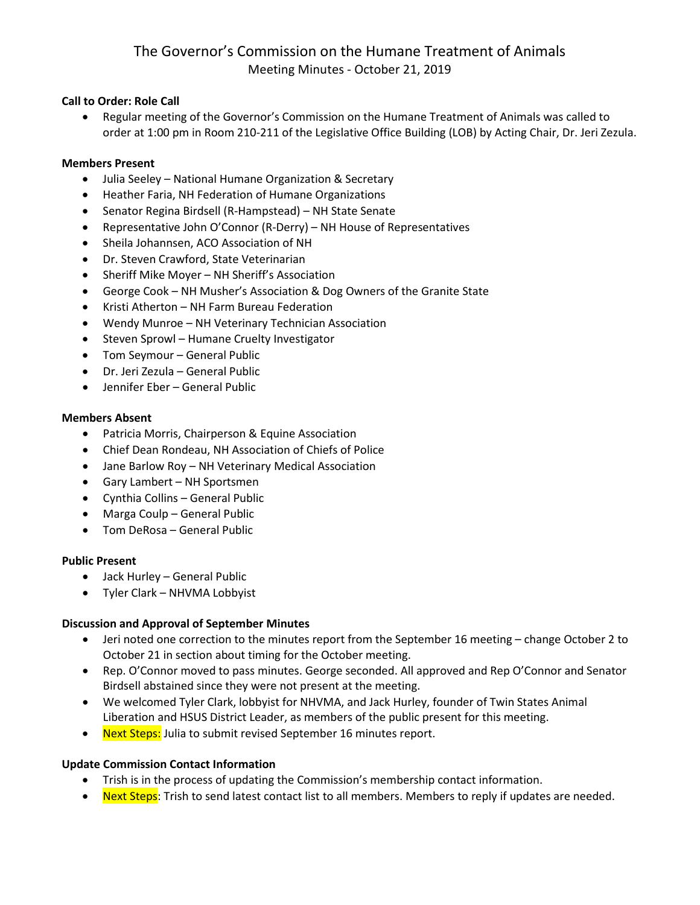### **Call to Order: Role Call**

• Regular meeting of the Governor's Commission on the Humane Treatment of Animals was called to order at 1:00 pm in Room 210-211 of the Legislative Office Building (LOB) by Acting Chair, Dr. Jeri Zezula.

### **Members Present**

- Julia Seeley National Humane Organization & Secretary
- Heather Faria, NH Federation of Humane Organizations
- Senator Regina Birdsell (R-Hampstead) NH State Senate
- Representative John O'Connor (R-Derry) NH House of Representatives
- Sheila Johannsen, ACO Association of NH
- Dr. Steven Crawford, State Veterinarian
- Sheriff Mike Moyer NH Sheriff's Association
- George Cook NH Musher's Association & Dog Owners of the Granite State
- Kristi Atherton NH Farm Bureau Federation
- Wendy Munroe NH Veterinary Technician Association
- Steven Sprowl Humane Cruelty Investigator
- Tom Seymour General Public
- Dr. Jeri Zezula General Public
- Jennifer Eber General Public

### **Members Absent**

- Patricia Morris, Chairperson & Equine Association
- Chief Dean Rondeau, NH Association of Chiefs of Police
- Jane Barlow Roy NH Veterinary Medical Association
- Gary Lambert NH Sportsmen
- Cynthia Collins General Public
- Marga Coulp General Public
- Tom DeRosa General Public

### **Public Present**

- Jack Hurley General Public
- Tyler Clark NHVMA Lobbyist

### **Discussion and Approval of September Minutes**

- Jeri noted one correction to the minutes report from the September 16 meeting change October 2 to October 21 in section about timing for the October meeting.
- Rep. O'Connor moved to pass minutes. George seconded. All approved and Rep O'Connor and Senator Birdsell abstained since they were not present at the meeting.
- We welcomed Tyler Clark, lobbyist for NHVMA, and Jack Hurley, founder of Twin States Animal Liberation and HSUS District Leader, as members of the public present for this meeting.
- Next Steps: Julia to submit revised September 16 minutes report.

### **Update Commission Contact Information**

- Trish is in the process of updating the Commission's membership contact information.
- Next Steps: Trish to send latest contact list to all members. Members to reply if updates are needed.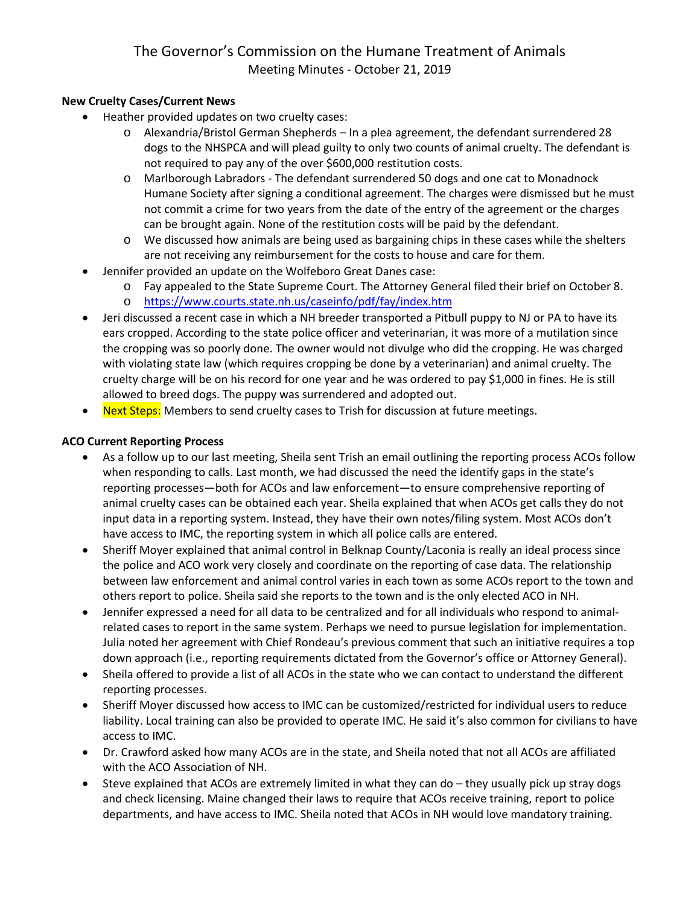## **New Cruelty Cases/Current News**

- Heather provided updates on two cruelty cases:
	- o Alexandria/Bristol German Shepherds In a plea agreement, the defendant surrendered 28 dogs to the NHSPCA and will plead guilty to only two counts of animal cruelty. The defendant is not required to pay any of the over \$600,000 restitution costs.
	- o Marlborough Labradors The defendant surrendered 50 dogs and one cat to Monadnock Humane Society after signing a conditional agreement. The charges were dismissed but he must not commit a crime for two years from the date of the entry of the agreement or the charges can be brought again. None of the restitution costs will be paid by the defendant.
	- o We discussed how animals are being used as bargaining chips in these cases while the shelters are not receiving any reimbursement for the costs to house and care for them.
- Jennifer provided an update on the Wolfeboro Great Danes case:
	- o Fay appealed to the State Supreme Court. The Attorney General filed their brief on October 8.
	- o <https://www.courts.state.nh.us/caseinfo/pdf/fay/index.htm>
- Jeri discussed a recent case in which a NH breeder transported a Pitbull puppy to NJ or PA to have its ears cropped. According to the state police officer and veterinarian, it was more of a mutilation since the cropping was so poorly done. The owner would not divulge who did the cropping. He was charged with violating state law (which requires cropping be done by a veterinarian) and animal cruelty. The cruelty charge will be on his record for one year and he was ordered to pay \$1,000 in fines. He is still allowed to breed dogs. The puppy was surrendered and adopted out.
- Next Steps: Members to send cruelty cases to Trish for discussion at future meetings.

## **ACO Current Reporting Process**

- As a follow up to our last meeting, Sheila sent Trish an email outlining the reporting process ACOs follow when responding to calls. Last month, we had discussed the need the identify gaps in the state's reporting processes—both for ACOs and law enforcement—to ensure comprehensive reporting of animal cruelty cases can be obtained each year. Sheila explained that when ACOs get calls they do not input data in a reporting system. Instead, they have their own notes/filing system. Most ACOs don't have access to IMC, the reporting system in which all police calls are entered.
- Sheriff Moyer explained that animal control in Belknap County/Laconia is really an ideal process since the police and ACO work very closely and coordinate on the reporting of case data. The relationship between law enforcement and animal control varies in each town as some ACOs report to the town and others report to police. Sheila said she reports to the town and is the only elected ACO in NH.
- Jennifer expressed a need for all data to be centralized and for all individuals who respond to animalrelated cases to report in the same system. Perhaps we need to pursue legislation for implementation. Julia noted her agreement with Chief Rondeau's previous comment that such an initiative requires a top down approach (i.e., reporting requirements dictated from the Governor's office or Attorney General).
- Sheila offered to provide a list of all ACOs in the state who we can contact to understand the different reporting processes.
- Sheriff Moyer discussed how access to IMC can be customized/restricted for individual users to reduce liability. Local training can also be provided to operate IMC. He said it's also common for civilians to have access to IMC.
- Dr. Crawford asked how many ACOs are in the state, and Sheila noted that not all ACOs are affiliated with the ACO Association of NH.
- Steve explained that ACOs are extremely limited in what they can do they usually pick up stray dogs and check licensing. Maine changed their laws to require that ACOs receive training, report to police departments, and have access to IMC. Sheila noted that ACOs in NH would love mandatory training.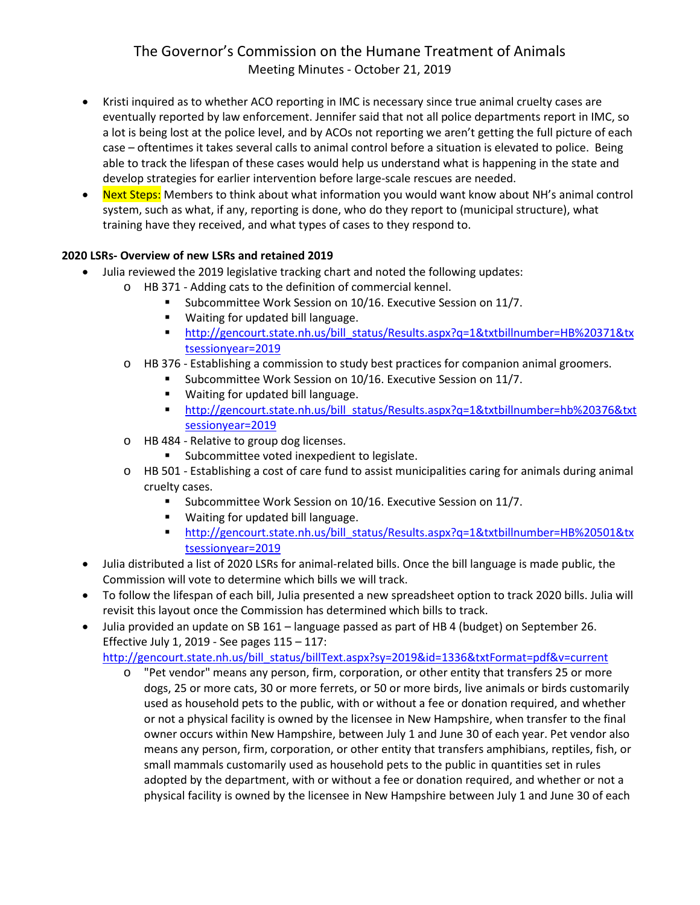- Kristi inquired as to whether ACO reporting in IMC is necessary since true animal cruelty cases are eventually reported by law enforcement. Jennifer said that not all police departments report in IMC, so a lot is being lost at the police level, and by ACOs not reporting we aren't getting the full picture of each case – oftentimes it takes several calls to animal control before a situation is elevated to police. Being able to track the lifespan of these cases would help us understand what is happening in the state and develop strategies for earlier intervention before large-scale rescues are needed.
- Next Steps: Members to think about what information you would want know about NH's animal control system, such as what, if any, reporting is done, who do they report to (municipal structure), what training have they received, and what types of cases to they respond to.

## **2020 LSRs- Overview of new LSRs and retained 2019**

- Julia reviewed the 2019 legislative tracking chart and noted the following updates:
	- o HB 371 Adding cats to the definition of commercial kennel.
		- Subcommittee Work Session on 10/16. Executive Session on 11/7.
		- **Waiting for updated bill language.**
		- [http://gencourt.state.nh.us/bill\\_status/Results.aspx?q=1&txtbillnumber=HB%20371&tx](http://gencourt.state.nh.us/bill_status/Results.aspx?q=1&txtbillnumber=HB%20371&txtsessionyear=2019) [tsessionyear=2019](http://gencourt.state.nh.us/bill_status/Results.aspx?q=1&txtbillnumber=HB%20371&txtsessionyear=2019)
	- o HB 376 Establishing a commission to study best practices for companion animal groomers.
		- Subcommittee Work Session on 10/16. Executive Session on 11/7.
		- **Waiting for updated bill language.**
		- [http://gencourt.state.nh.us/bill\\_status/Results.aspx?q=1&txtbillnumber=hb%20376&txt](http://gencourt.state.nh.us/bill_status/Results.aspx?q=1&txtbillnumber=hb%20376&txtsessionyear=2019) [sessionyear=2019](http://gencourt.state.nh.us/bill_status/Results.aspx?q=1&txtbillnumber=hb%20376&txtsessionyear=2019)
	- o HB 484 Relative to group dog licenses.
		- **Subcommittee voted inexpedient to legislate.**
	- o HB 501 Establishing a cost of care fund to assist municipalities caring for animals during animal cruelty cases.
		- **Subcommittee Work Session on 10/16. Executive Session on 11/7.**
		- Waiting for updated bill language.
		- [http://gencourt.state.nh.us/bill\\_status/Results.aspx?q=1&txtbillnumber=HB%20501&tx](http://gencourt.state.nh.us/bill_status/Results.aspx?q=1&txtbillnumber=HB%20501&txtsessionyear=2019) [tsessionyear=2019](http://gencourt.state.nh.us/bill_status/Results.aspx?q=1&txtbillnumber=HB%20501&txtsessionyear=2019)
- Julia distributed a list of 2020 LSRs for animal-related bills. Once the bill language is made public, the Commission will vote to determine which bills we will track.
- To follow the lifespan of each bill, Julia presented a new spreadsheet option to track 2020 bills. Julia will revisit this layout once the Commission has determined which bills to track.
- Julia provided an update on SB 161 language passed as part of HB 4 (budget) on September 26. Effective July 1, 2019 - See pages  $115 - 117$ :

[http://gencourt.state.nh.us/bill\\_status/billText.aspx?sy=2019&id=1336&txtFormat=pdf&v=current](http://gencourt.state.nh.us/bill_status/billText.aspx?sy=2019&id=1336&txtFormat=pdf&v=current)

o "Pet vendor" means any person, firm, corporation, or other entity that transfers 25 or more dogs, 25 or more cats, 30 or more ferrets, or 50 or more birds, live animals or birds customarily used as household pets to the public, with or without a fee or donation required, and whether or not a physical facility is owned by the licensee in New Hampshire, when transfer to the final owner occurs within New Hampshire, between July 1 and June 30 of each year. Pet vendor also means any person, firm, corporation, or other entity that transfers amphibians, reptiles, fish, or small mammals customarily used as household pets to the public in quantities set in rules adopted by the department, with or without a fee or donation required, and whether or not a physical facility is owned by the licensee in New Hampshire between July 1 and June 30 of each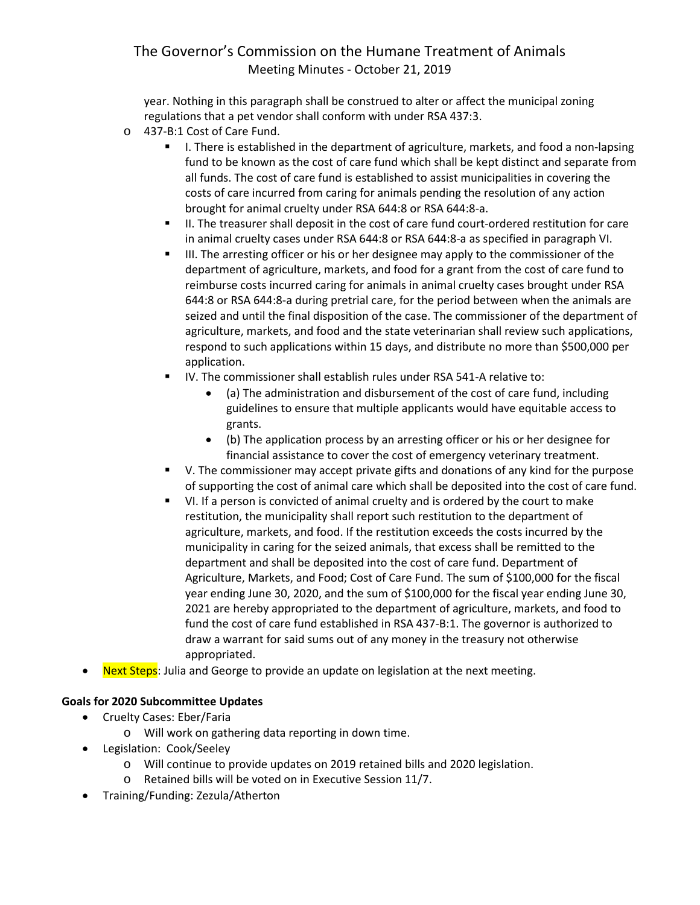year. Nothing in this paragraph shall be construed to alter or affect the municipal zoning regulations that a pet vendor shall conform with under RSA 437:3.

- o 437-B:1 Cost of Care Fund.
	- I. There is established in the department of agriculture, markets, and food a non-lapsing fund to be known as the cost of care fund which shall be kept distinct and separate from all funds. The cost of care fund is established to assist municipalities in covering the costs of care incurred from caring for animals pending the resolution of any action brought for animal cruelty under RSA 644:8 or RSA 644:8-a.
	- II. The treasurer shall deposit in the cost of care fund court-ordered restitution for care in animal cruelty cases under RSA 644:8 or RSA 644:8-a as specified in paragraph VI.
	- III. The arresting officer or his or her designee may apply to the commissioner of the department of agriculture, markets, and food for a grant from the cost of care fund to reimburse costs incurred caring for animals in animal cruelty cases brought under RSA 644:8 or RSA 644:8-a during pretrial care, for the period between when the animals are seized and until the final disposition of the case. The commissioner of the department of agriculture, markets, and food and the state veterinarian shall review such applications, respond to such applications within 15 days, and distribute no more than \$500,000 per application.
	- IV. The commissioner shall establish rules under RSA 541-A relative to:
		- (a) The administration and disbursement of the cost of care fund, including guidelines to ensure that multiple applicants would have equitable access to grants.
		- (b) The application process by an arresting officer or his or her designee for financial assistance to cover the cost of emergency veterinary treatment.
	- V. The commissioner may accept private gifts and donations of any kind for the purpose of supporting the cost of animal care which shall be deposited into the cost of care fund.
	- VI. If a person is convicted of animal cruelty and is ordered by the court to make restitution, the municipality shall report such restitution to the department of agriculture, markets, and food. If the restitution exceeds the costs incurred by the municipality in caring for the seized animals, that excess shall be remitted to the department and shall be deposited into the cost of care fund. Department of Agriculture, Markets, and Food; Cost of Care Fund. The sum of \$100,000 for the fiscal year ending June 30, 2020, and the sum of \$100,000 for the fiscal year ending June 30, 2021 are hereby appropriated to the department of agriculture, markets, and food to fund the cost of care fund established in RSA 437-B:1. The governor is authorized to draw a warrant for said sums out of any money in the treasury not otherwise appropriated.
- Next Steps: Julia and George to provide an update on legislation at the next meeting.

## **Goals for 2020 Subcommittee Updates**

- Cruelty Cases: Eber/Faria
	- o Will work on gathering data reporting in down time.
- Legislation: Cook/Seeley
	- o Will continue to provide updates on 2019 retained bills and 2020 legislation.
	- o Retained bills will be voted on in Executive Session 11/7.
- Training/Funding: Zezula/Atherton